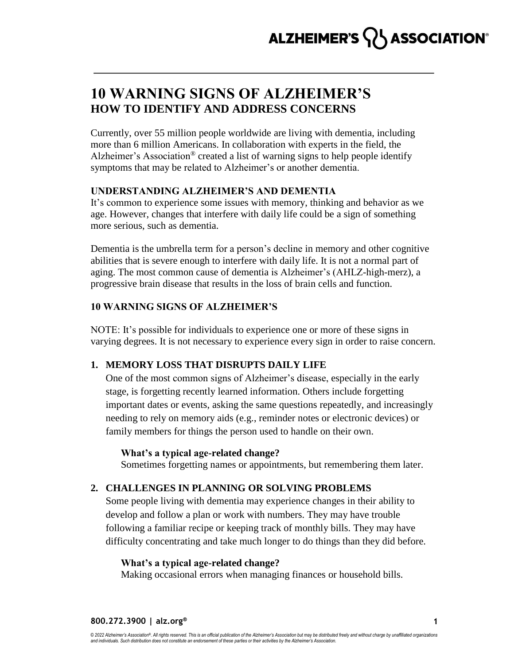# ALZHEIMER'S  $\{ \}$  ASSOCIATION®

## **10 WARNING SIGNS OF ALZHEIMER'S HOW TO IDENTIFY AND ADDRESS CONCERNS**

Currently, over 55 million people worldwide are living with dementia, including more than 6 million Americans. In collaboration with experts in the field, the Alzheimer's Association<sup>®</sup> created a list of warning signs to help people identify symptoms that may be related to Alzheimer's or another dementia.

## **UNDERSTANDING ALZHEIMER'S AND DEMENTIA**

It's common to experience some issues with memory, thinking and behavior as we age. However, changes that interfere with daily life could be a sign of something more serious, such as dementia.

Dementia is the umbrella term for a person's decline in memory and other cognitive abilities that is severe enough to interfere with daily life. It is not a normal part of aging. The most common cause of dementia is Alzheimer's (AHLZ-high-merz), a progressive brain disease that results in the loss of brain cells and function.

## **10 WARNING SIGNS OF ALZHEIMER'S**

NOTE: It's possible for individuals to experience one or more of these signs in varying degrees. It is not necessary to experience every sign in order to raise concern.

## **1. MEMORY LOSS THAT DISRUPTS DAILY LIFE**

One of the most common signs of Alzheimer's disease, especially in the early stage, is forgetting recently learned information. Others include forgetting important dates or events, asking the same questions repeatedly, and increasingly needing to rely on memory aids (e.g., reminder notes or electronic devices) or family members for things the person used to handle on their own.

## **What's a typical age-related change?**

Sometimes forgetting names or appointments, but remembering them later.

## **2. CHALLENGES IN PLANNING OR SOLVING PROBLEMS**

Some people living with dementia may experience changes in their ability to develop and follow a plan or work with numbers. They may have trouble following a familiar recipe or keeping track of monthly bills. They may have difficulty concentrating and take much longer to do things than they did before.

## **What's a typical age-related change?**

Making occasional errors when managing finances or household bills.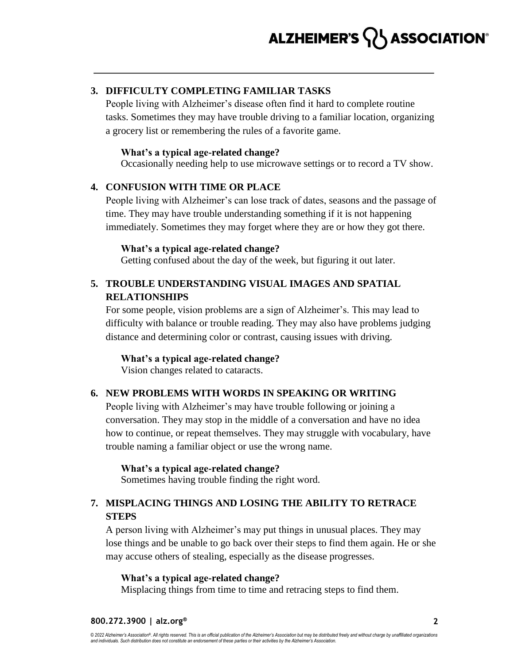## **3. DIFFICULTY COMPLETING FAMILIAR TASKS**

People living with Alzheimer's disease often find it hard to complete routine tasks. Sometimes they may have trouble driving to a familiar location, organizing a grocery list or remembering the rules of a favorite game.

## **What's a typical age-related change?**

Occasionally needing help to use microwave settings or to record a TV show.

## **4. CONFUSION WITH TIME OR PLACE**

People living with Alzheimer's can lose track of dates, seasons and the passage of time. They may have trouble understanding something if it is not happening immediately. Sometimes they may forget where they are or how they got there.

## **What's a typical age-related change?**

Getting confused about the day of the week, but figuring it out later.

## **5. TROUBLE UNDERSTANDING VISUAL IMAGES AND SPATIAL RELATIONSHIPS**

For some people, vision problems are a sign of Alzheimer's. This may lead to difficulty with balance or trouble reading. They may also have problems judging distance and determining color or contrast, causing issues with driving.

**What's a typical age-related change?**

Vision changes related to cataracts.

## **6. NEW PROBLEMS WITH WORDS IN SPEAKING OR WRITING**

People living with Alzheimer's may have trouble following or joining a conversation. They may stop in the middle of a conversation and have no idea how to continue, or repeat themselves. They may struggle with vocabulary, have trouble naming a familiar object or use the wrong name.

**What's a typical age-related change?**

Sometimes having trouble finding the right word.

## **7. MISPLACING THINGS AND LOSING THE ABILITY TO RETRACE STEPS**

A person living with Alzheimer's may put things in unusual places. They may lose things and be unable to go back over their steps to find them again. He or she may accuse others of stealing, especially as the disease progresses.

## **What's a typical age-related change?**

Misplacing things from time to time and retracing steps to find them.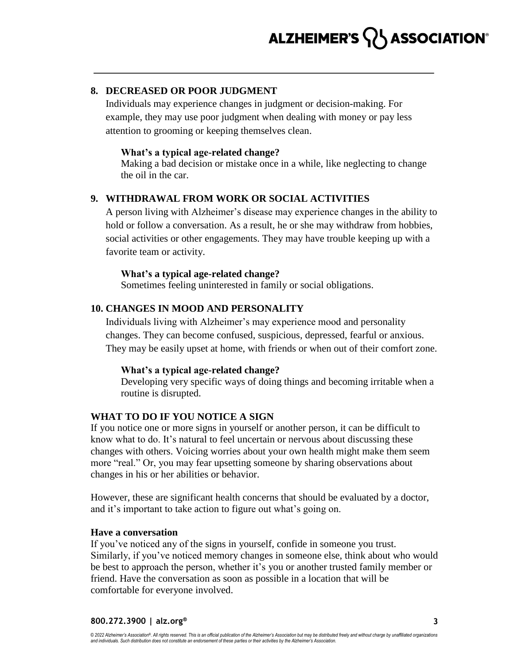## ALZHEIMER'S  $\{ \}$  ASSOCIATION®

## **8. DECREASED OR POOR JUDGMENT**

Individuals may experience changes in judgment or decision-making. For example, they may use poor judgment when dealing with money or pay less attention to grooming or keeping themselves clean.

### **What's a typical age-related change?**

Making a bad decision or mistake once in a while, like neglecting to change the oil in the car.

## **9. WITHDRAWAL FROM WORK OR SOCIAL ACTIVITIES**

A person living with Alzheimer's disease may experience changes in the ability to hold or follow a conversation. As a result, he or she may withdraw from hobbies, social activities or other engagements. They may have trouble keeping up with a favorite team or activity.

#### **What's a typical age-related change?**

Sometimes feeling uninterested in family or social obligations.

### **10. CHANGES IN MOOD AND PERSONALITY**

Individuals living with Alzheimer's may experience mood and personality changes. They can become confused, suspicious, depressed, fearful or anxious. They may be easily upset at home, with friends or when out of their comfort zone.

#### **What's a typical age-related change?**

Developing very specific ways of doing things and becoming irritable when a routine is disrupted.

## **WHAT TO DO IF YOU NOTICE A SIGN**

If you notice one or more signs in yourself or another person, it can be difficult to know what to do. It's natural to feel uncertain or nervous about discussing these changes with others. Voicing worries about your own health might make them seem more "real." Or, you may fear upsetting someone by sharing observations about changes in his or her abilities or behavior.

However, these are significant health concerns that should be evaluated by a doctor, and it's important to take action to figure out what's going on.

### **Have a conversation**

If you've noticed any of the signs in yourself, confide in someone you trust. Similarly, if you've noticed memory changes in someone else, think about who would be best to approach the person, whether it's you or another trusted family member or friend. Have the conversation as soon as possible in a location that will be comfortable for everyone involved.